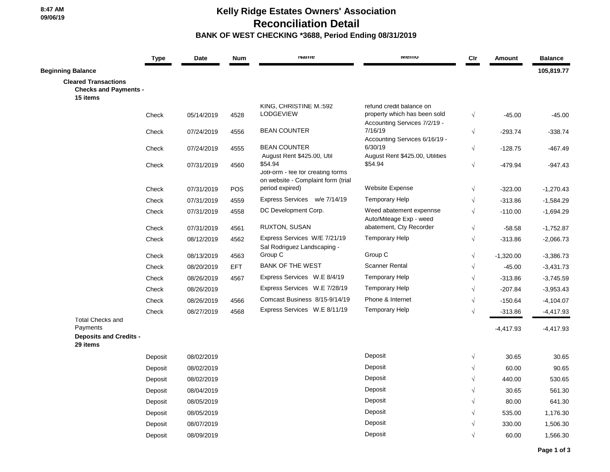## **Kelly Ridge Estates Owners' Association Reconciliation Detail BANK OF WEST CHECKING \*3688, Period Ending 08/31/2019**

|                                                                         | <b>Type</b> | Date       | <b>Num</b> | <b>Name</b>                                           | <b>METHO</b>                                                 | Cir        | Amount      | <b>Balance</b> |
|-------------------------------------------------------------------------|-------------|------------|------------|-------------------------------------------------------|--------------------------------------------------------------|------------|-------------|----------------|
| <b>Beginning Balance</b>                                                |             |            |            |                                                       |                                                              |            |             | 105,819.77     |
| <b>Cleared Transactions</b><br><b>Checks and Payments -</b><br>15 items |             |            |            |                                                       |                                                              |            |             |                |
|                                                                         |             |            |            | KING, CHRISTINE M.:592                                | refund credit balance on                                     |            |             |                |
|                                                                         | Check       | 05/14/2019 | 4528       | <b>LODGEVIEW</b>                                      | property which has been sold<br>Accounting Services 7/2/19 - | $\sqrt{ }$ | $-45.00$    | $-45.00$       |
|                                                                         | Check       | 07/24/2019 | 4556       | <b>BEAN COUNTER</b>                                   | 7/16/19                                                      | $\sqrt{}$  | $-293.74$   | $-338.74$      |
|                                                                         |             |            |            |                                                       | Accounting Services 6/16/19 -                                |            |             |                |
|                                                                         | Check       | 07/24/2019 | 4555       | <b>BEAN COUNTER</b><br>August Rent \$425.00, Util     | 6/30/19<br>August Rent \$425.00, Utilities                   | $\sqrt{}$  | $-128.75$   | $-467.49$      |
|                                                                         | Check       | 07/31/2019 | 4560       | \$54.94                                               | \$54.94                                                      | $\sqrt{}$  | $-479.94$   | $-947.43$      |
|                                                                         |             |            |            | JotForm - fee for creating forms                      |                                                              |            |             |                |
|                                                                         | Check       | 07/31/2019 | <b>POS</b> | on website - Complaint form (trial<br>period expired) | <b>Website Expense</b>                                       | $\sqrt{}$  | $-323.00$   | $-1,270.43$    |
|                                                                         | Check       | 07/31/2019 | 4559       | Express Services w/e 7/14/19                          | <b>Temporary Help</b>                                        | $\sqrt{}$  | $-313.86$   | $-1,584.29$    |
|                                                                         | Check       | 07/31/2019 | 4558       | DC Development Corp.                                  | Weed abatement expennse                                      | $\sqrt{ }$ | $-110.00$   | $-1,694.29$    |
|                                                                         |             |            |            |                                                       | Auto/Mileage Exp - weed                                      |            |             |                |
|                                                                         | Check       | 07/31/2019 | 4561       | RUXTON, SUSAN                                         | abatement, Cty Recorder                                      | $\sqrt{}$  | $-58.58$    | $-1,752.87$    |
|                                                                         | Check       | 08/12/2019 | 4562       | Express Services W/E 7/21/19                          | <b>Temporary Help</b>                                        | $\sqrt{ }$ | $-313.86$   | $-2,066.73$    |
|                                                                         | Check       | 08/13/2019 | 4563       | Sal Rodriguez Landscaping -<br>Group C                | Group C                                                      | $\sqrt{ }$ | $-1,320.00$ | $-3,386.73$    |
|                                                                         | Check       | 08/20/2019 | <b>EFT</b> | <b>BANK OF THE WEST</b>                               | <b>Scanner Rental</b>                                        | $\sqrt{ }$ | $-45.00$    | $-3,431.73$    |
|                                                                         | Check       | 08/26/2019 | 4567       | Express Services W.E 8/4/19                           | <b>Temporary Help</b>                                        | $\sqrt{ }$ | $-313.86$   | $-3,745.59$    |
|                                                                         | Check       | 08/26/2019 |            | Express Services W.E 7/28/19                          | <b>Temporary Help</b>                                        | $\sqrt{ }$ | $-207.84$   | $-3,953.43$    |
|                                                                         | Check       | 08/26/2019 | 4566       | Comcast Business 8/15-9/14/19                         | Phone & Internet                                             | $\sqrt{ }$ | $-150.64$   | $-4,104.07$    |
|                                                                         | Check       | 08/27/2019 | 4568       | Express Services W.E 8/11/19                          | <b>Temporary Help</b>                                        | $\sqrt{ }$ | $-313.86$   | $-4,417.93$    |
| <b>Total Checks and</b>                                                 |             |            |            |                                                       |                                                              |            |             |                |
| Payments<br><b>Deposits and Credits -</b>                               |             |            |            |                                                       |                                                              |            | $-4,417.93$ | $-4,417.93$    |
| 29 items                                                                |             |            |            |                                                       |                                                              |            |             |                |
|                                                                         | Deposit     | 08/02/2019 |            |                                                       | Deposit                                                      | $\sqrt{}$  | 30.65       | 30.65          |
|                                                                         | Deposit     | 08/02/2019 |            |                                                       | Deposit                                                      | $\sqrt{ }$ | 60.00       | 90.65          |
|                                                                         | Deposit     | 08/02/2019 |            |                                                       | Deposit                                                      |            | 440.00      | 530.65         |
|                                                                         | Deposit     | 08/04/2019 |            |                                                       | Deposit                                                      |            | 30.65       | 561.30         |
|                                                                         | Deposit     | 08/05/2019 |            |                                                       | Deposit                                                      | $\sqrt{ }$ | 80.00       | 641.30         |
|                                                                         | Deposit     | 08/05/2019 |            |                                                       | Deposit                                                      |            | 535.00      | 1,176.30       |
|                                                                         | Deposit     | 08/07/2019 |            |                                                       | Deposit                                                      |            | 330.00      | 1,506.30       |
|                                                                         | Deposit     | 08/09/2019 |            |                                                       | Deposit                                                      | $\sqrt{ }$ | 60.00       | 1,566.30       |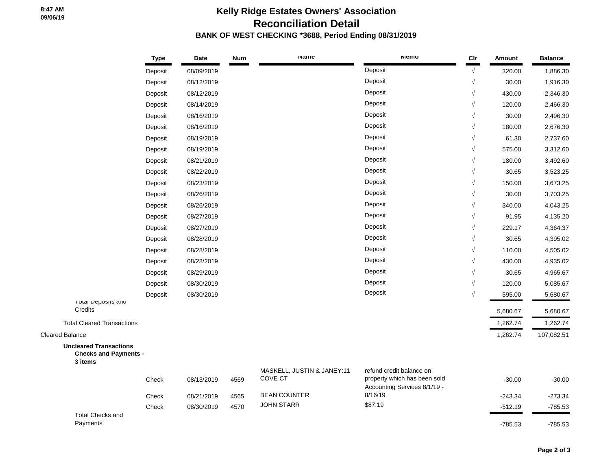## **Kelly Ridge Estates Owners' Association Reconciliation Detail BANK OF WEST CHECKING \*3688, Period Ending 08/31/2019**

|                                                                          | <b>Type</b> | Date       | <b>Num</b> | <b>Name</b>                           | <b>IVIEITIO</b>                                                                          | Cir        | Amount    | <b>Balance</b> |
|--------------------------------------------------------------------------|-------------|------------|------------|---------------------------------------|------------------------------------------------------------------------------------------|------------|-----------|----------------|
|                                                                          | Deposit     | 08/09/2019 |            |                                       | Deposit                                                                                  | $\sqrt{ }$ | 320.00    | 1,886.30       |
|                                                                          | Deposit     | 08/12/2019 |            |                                       | Deposit                                                                                  | $\sqrt{}$  | 30.00     | 1,916.30       |
|                                                                          | Deposit     | 08/12/2019 |            |                                       | Deposit                                                                                  | $\sqrt{ }$ | 430.00    | 2,346.30       |
|                                                                          | Deposit     | 08/14/2019 |            |                                       | Deposit                                                                                  | $\sqrt{ }$ | 120.00    | 2,466.30       |
|                                                                          | Deposit     | 08/16/2019 |            |                                       | Deposit                                                                                  |            | 30.00     | 2,496.30       |
|                                                                          | Deposit     | 08/16/2019 |            |                                       | Deposit                                                                                  | $\sqrt{}$  | 180.00    | 2,676.30       |
|                                                                          | Deposit     | 08/19/2019 |            |                                       | Deposit                                                                                  | $\sqrt{}$  | 61.30     | 2,737.60       |
|                                                                          | Deposit     | 08/19/2019 |            |                                       | Deposit                                                                                  | $\sqrt{ }$ | 575.00    | 3,312.60       |
|                                                                          | Deposit     | 08/21/2019 |            |                                       | Deposit                                                                                  |            | 180.00    | 3,492.60       |
|                                                                          | Deposit     | 08/22/2019 |            |                                       | Deposit                                                                                  | $\sqrt{}$  | 30.65     | 3,523.25       |
|                                                                          | Deposit     | 08/23/2019 |            |                                       | Deposit                                                                                  | $\sqrt{}$  | 150.00    | 3,673.25       |
|                                                                          | Deposit     | 08/26/2019 |            |                                       | Deposit                                                                                  | $\sqrt{ }$ | 30.00     | 3,703.25       |
|                                                                          | Deposit     | 08/26/2019 |            |                                       | Deposit                                                                                  | $\sqrt{}$  | 340.00    | 4,043.25       |
|                                                                          | Deposit     | 08/27/2019 |            |                                       | Deposit                                                                                  |            | 91.95     | 4,135.20       |
|                                                                          | Deposit     | 08/27/2019 |            |                                       | Deposit                                                                                  | $\sqrt{ }$ | 229.17    | 4,364.37       |
|                                                                          | Deposit     | 08/28/2019 |            |                                       | Deposit                                                                                  | $\sqrt{}$  | 30.65     | 4,395.02       |
|                                                                          | Deposit     | 08/28/2019 |            |                                       | Deposit                                                                                  | $\sqrt{ }$ | 110.00    | 4,505.02       |
|                                                                          | Deposit     | 08/28/2019 |            |                                       | Deposit                                                                                  |            | 430.00    | 4,935.02       |
|                                                                          | Deposit     | 08/29/2019 |            |                                       | Deposit                                                                                  | $\sqrt{ }$ | 30.65     | 4,965.67       |
|                                                                          | Deposit     | 08/30/2019 |            |                                       | Deposit                                                                                  | $\sqrt{ }$ | 120.00    | 5,085.67       |
|                                                                          | Deposit     | 08/30/2019 |            |                                       | Deposit                                                                                  | $\sqrt{ }$ | 595.00    | 5,680.67       |
| I otal Deposits and<br>Credits                                           |             |            |            |                                       |                                                                                          |            | 5,680.67  | 5,680.67       |
| <b>Total Cleared Transactions</b>                                        |             |            |            |                                       |                                                                                          |            | 1,262.74  | 1,262.74       |
| <b>Cleared Balance</b>                                                   |             |            |            |                                       |                                                                                          |            | 1,262.74  | 107,082.51     |
| <b>Uncleared Transactions</b><br><b>Checks and Payments -</b><br>3 items |             |            |            |                                       |                                                                                          |            |           |                |
|                                                                          | Check       | 08/13/2019 | 4569       | MASKELL, JUSTIN & JANEY:11<br>COVE CT | refund credit balance on<br>property which has been sold<br>Accounting Services 8/1/19 - |            | $-30.00$  | $-30.00$       |
|                                                                          | Check       | 08/21/2019 | 4565       | <b>BEAN COUNTER</b>                   | 8/16/19                                                                                  |            | $-243.34$ | $-273.34$      |
|                                                                          | Check       | 08/30/2019 | 4570       | <b>JOHN STARR</b>                     | \$87.19                                                                                  |            | $-512.19$ | $-785.53$      |
| <b>Total Checks and</b><br>Payments                                      |             |            |            |                                       |                                                                                          |            | $-785.53$ | $-785.53$      |